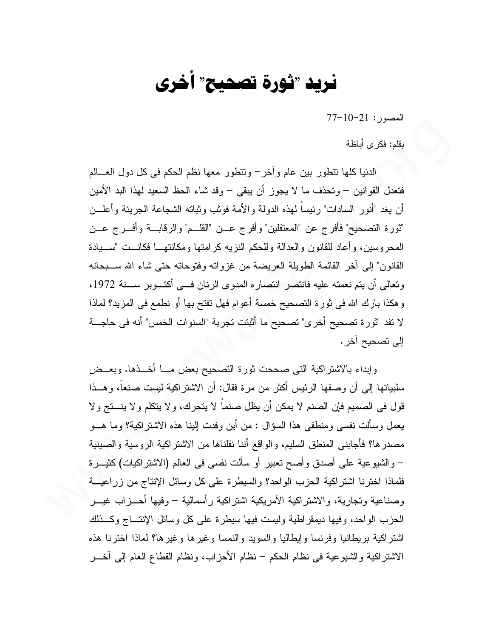## نريد "ثورة تصحيح" أخرى

 $77-10-21$ : المصبور

بقلم: فكر ي أباظة

الدنيا كلها نتطور بين عام وأخرٍ – وتتطور معها نظم الحكم في كل دول العسالم فتعدل القوانين – وتحذف ما لا يجوز أن يبقى – وقد شاء الحظ السعيد لمهذا البد الأمين أن يغد "أنور السادات" رئيساً لمهذه الدولة والأمة فوثب وثباته الشجاعة الجريئة وأعلـــن "ثورة التصحيح" فأفرج عن "المعتقلين" وأفرج عـــن "القلـــم" والرقابـــة وأفـــرج عـــن المحروسين، وأعاد للقانون والعدالة وللحكم النزيه كرامتها ومكانتهــا فكانــت "ســـيادة القانون" إلى أخر القائمة الطويلة العريضة من غزواته وفتوحاته حتى شاء الله سـبحانه وتعالى أن يتم نعمته عليه فانتصر انتصاره المدوى الرنان فسي أكتسوبر سسنة 1972، وهكذا بارك الله في ثورة التصحيح خمسة أعوام فهل تفتح بها أو نطمع في المزيد؟ لماذا لا تقد "تُورِ ة تصحيح أخرٍ ي" تصحيح ما أَثبتت تجرِ بة "السنوات الخمس" أنه في حاجـــة إلى تصحيح آخر .

وإبداء بالاشتراكية التي صححت ثورة التصحيح بعض مـــا أخـــذها. وبعـــض سلبياتها إلى أن وصفها الرئيس أكثر من مرة فقال: أن الاشتراكية ليست صنعاً، وهـــذا قول في الصميم فإن الصنم لا يمكن أن يظل صنماً لا يتحرك، و لا يتكلم و لا ينـــتج و لا يعمل وسألت نفسي ومنطقي هذا السؤال : من أين وفدت الينا هذه الاشتر اكية؟ وما هـــو مصدرها؟ فأجابنـي المنطق السليم، والواقع أننا نقلناها من الاشتراكية الروسية والصبينية – والشيوعية على أصدق وأصح نعبير أو سألت نفسي في العالم (الاشتراكيات) كثيـــرة فلماذا اخترنا اشتر اكية الحزب الواحد؟ والسيطر ة على كل وسائل الإنتاج من زر اعيـــة وصناعية وتجارية، والاشتراكية الأمريكية اشتراكية رأسمالية – وفيها أحـــزاب غيـــر الحزب الواحد، وفيها ديمقراطية وليست فيها سيطرة على كل وسائل الإنتــاج وكــذلك اشتراكية بريطانيا وفرنسا وإيطاليا والسويد والنمسا وغيرها وغيرها؟ لماذا اخترنا هذه الاشتر اكية والشيوعية في نظام الحكم – نظام الأحزاب، ونظام القطاع العام إلى آخــر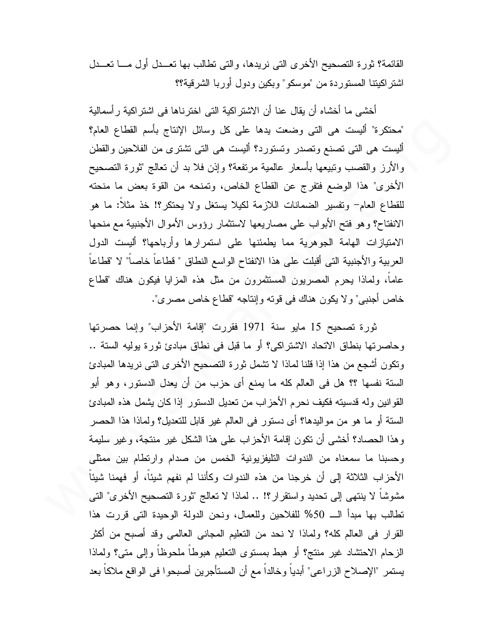القائمة؟ ثور ة التصحيح الأخر ي التي نريدها، والتي تطالب بها تعــدل أول مـــا تعــدل اشتراكيتنا المستوردة من "موسكو" وبكين ودول أوربا الشرقية؟؟

أخشى ما أخشاه أن يقال عنا أن الاشتراكية التي اخترناها في اشتراكية رأسمالية "محتكرة" أليست هي التي وضعت يدها على كل وسائل الإنتاج بأسم القطاع العام؟ ألبست هي التي تصنع وتصدر وتستورد؟ ألبست هي التي تشتري من الفلاحين والقطن والأرز والقصب ونبيعها بأسعار عالمية مرتفعة؟ وإذن فلا بد أن نعالج "ثورة التصحيح الأخرى" هذا الوضع فتفرج عن القطاع الخاص، ونمنحه من القوة بعض ما منحته للقطاع العام– وتفسير الضمانات اللازمة لكيلا يستغل ولا يحتكر؟! خذ مثلاً: ما هو الانفتاح؟ وهو فتح الأبواب على مصاريعها لاستثمار رؤوس الأموال الأجنبية مع منحها الامتيازات الهامة الجوهرية مما يطمئنها على استمرارها وأرباحها؟ أليست الدول العربية والأجنبية التي أقبلت على هذا الانفتاح الواسع النطاق " فطاعاً خاصاً" لا "قطاعاً عاماً، ولماذا يحرم المصريون المستثمرون من مثل هذه المزايا فيكون هناك "قطاع خاص أجنبي" ولا يكون هناك في قوته وإنتاجه "قطاع خاص مصري".

ثورة تصحيح 15 مايو سنة 1971 فقررت "إقامة الأحزاب" وإنما حصرتها وحاصرتها بنطاق الاتحاد الاشتراكي؟ أو ما قبل في نطاق مبادئ ثورة بوليه الستة .. ونكون أشجع من هذا إذا قلنا لماذا لا نشمل ثورة التصحيح الأخرى التي نريدها المبادئ الستة نفسها ؟؟ هل في العالم كله ما يمنع أي حزب من أن يعدل الدستور، وهو أبو القوانين وله قدسيته فكيف نحرم الأحزاب من تعديل الدستور إذا كان يشمل هذه المبادئ الستة أو ما هو من مواليدها؟ أي دستور في العالم غير قابل للتعديل؟ ولماذا هذا الحصر وهذا الحصاد؟ أخشى أن نكون إقامة الأحزاب على هذا الشكل غير منتجة، وغير سليمة وحسبنا ما سمعناه من الندوات التليفزيونية الخمس من صدام وارتطام بين ممثلي الأحزاب الثلاثة إلى أن خرجنا من هذه الندوات وكأننا لم نفهم شيئاً، أو فهمنا شيئاً مشوشاً لا ينتهي إلى تحديد واستقرار؟! .. لماذا لا تعالج "ثورة التصحيح الأخرى" التي " تطالب بها مبدأ الـــ 50% للفلاحين وللعمال، ونحن الدولة الوحيدة التي قررت هذا القرار في العالم كله؟ ولماذا لا نحد من التعليم المجاني العالمي وقد أصبح من أكثر الزحام الاحتشاد غير منتج؟ أو هبط بمستوى التعليم هبوطا ملحوظا وإلى متى؟ ولماذا يستمر "الإصلاح الزراعي" أبديا وخالدا مع أن المستأجرين أصبحوا في الواقع ملاكا بعد